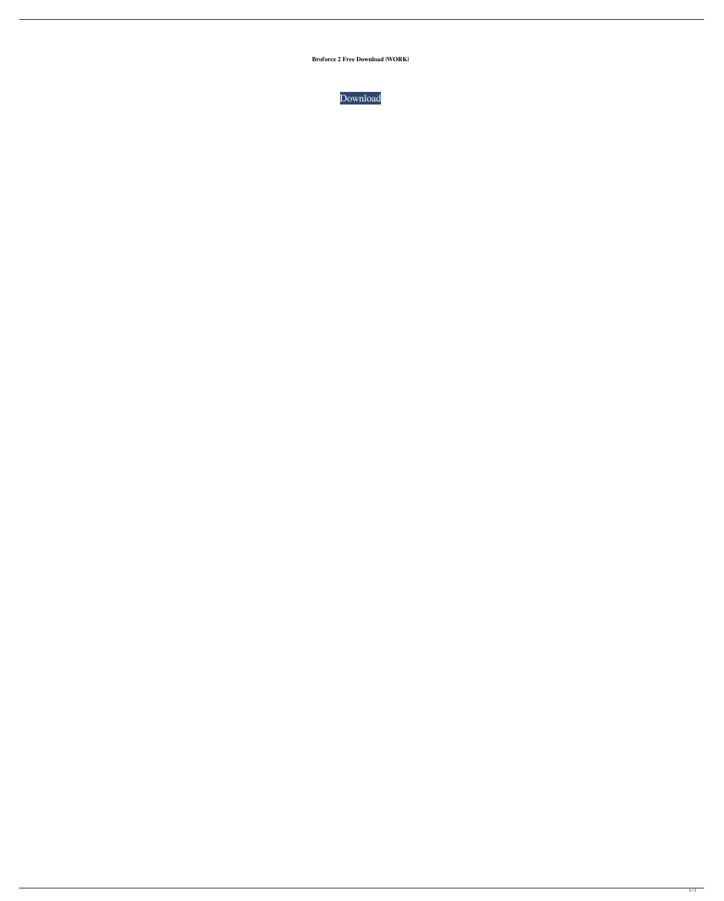**Broforce 2 Free Download |WORK|**



 $\overline{1/2}$